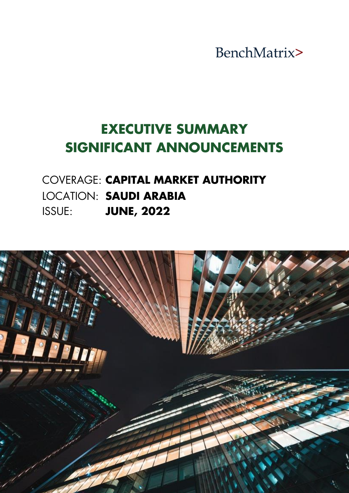BenchMatrix>

# **EXECUTIVE SUMMARY SIGNIFICANT ANNOUNCEMENTS**

# COVERAGE: **CAPITAL MARKET AUTHORITY** LOCATION: **SAUDI ARABIA** ISSUE: **JUNE, 2022**

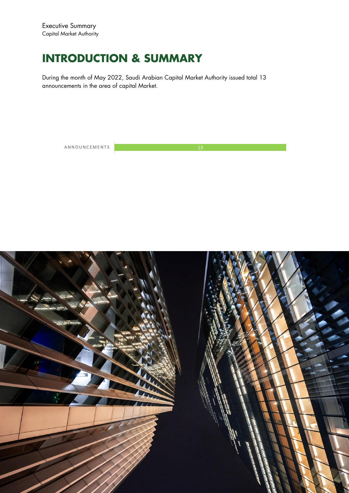# **INTRODUCTION & SUMMARY**

During the month of May 2022, Saudi Arabian Capital Market Authority issued total 13 announcements in the area of capital Market.

A N N O U N C E M E N T S 13

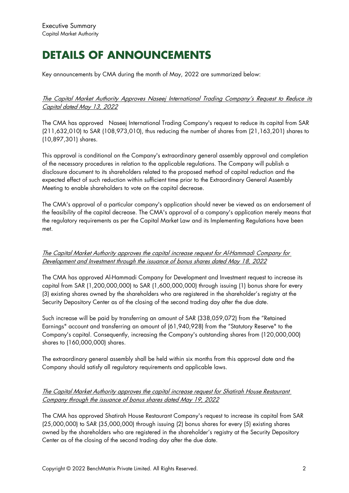# **DETAILS OF ANNOUNCEMENTS**

Key announcements by CMA during the month of May, 2022 are summarized below:

### The Capital Market Authority Approves Naseej International Trading Company's Request to Reduce its Capital dated May 13, 2022

The CMA has approved Naseej International Trading Company's request to reduce its capital from SAR (211,632,010) to SAR (108,973,010), thus reducing the number of shares from (21,163,201) shares to (10,897,301) shares.

This approval is conditional on the Company's extraordinary general assembly approval and completion of the necessary procedures in relation to the applicable regulations. The Company will publish a disclosure document to its shareholders related to the proposed method of capital reduction and the expected effect of such reduction within sufficient time prior to the Extraordinary General Assembly Meeting to enable shareholders to vote on the capital decrease.

The CMA's approval of a particular company's application should never be viewed as an endorsement of the feasibility of the capital decrease. The CMA's approval of a company's application merely means that the regulatory requirements as per the Capital Market Law and its Implementing Regulations have been met.

The Capital Market Authority approves the capital increase request for Al-Hammadi Company for Development and Investment through the issuance of bonus shares dated May 18, 2022

The CMA has approved Al-Hammadi Company for Development and Investment request to increase its capital from SAR (1,200,000,000) to SAR (1,600,000,000) through issuing (1) bonus share for every (3) existing shares owned by the shareholders who are registered in the shareholder's registry at the Security Depository Center as of the closing of the second trading day after the due date.

Such increase will be paid by transferring an amount of SAR (338,059,072) from the "Retained Earnings" account and transferring an amount of (61,940,928) from the "Statutory Reserve" to the Company's capital. Consequently, increasing the Company's outstanding shares from (120,000,000) shares to (160,000,000) shares.

The extraordinary general assembly shall be held within six months from this approval date and the Company should satisfy all regulatory requirements and applicable laws.

## The Capital Market Authority approves the capital increase request for Shatirah House Restaurant Company through the issuance of bonus shares dated May 19, 2022

The CMA has approved Shatirah House Restaurant Company's request to increase its capital from SAR (25,000,000) to SAR (35,000,000) through issuing (2) bonus shares for every (5) existing shares owned by the shareholders who are registered in the shareholder's registry at the Security Depository Center as of the closing of the second trading day after the due date.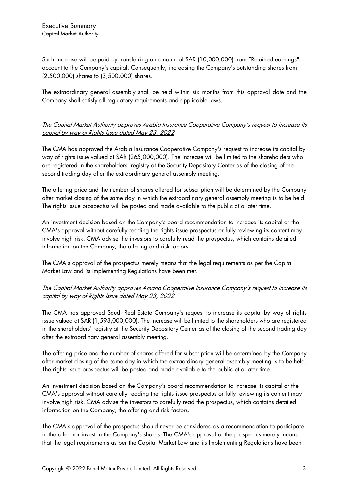Such increase will be paid by transferring an amount of SAR (10,000,000) from "Retained earnings" account to the Company's capital. Consequently, increasing the Company's outstanding shares from (2,500,000) shares to (3,500,000) shares.

The extraordinary general assembly shall be held within six months from this approval date and the Company shall satisfy all regulatory requirements and applicable laws.

# The Capital Market Authority approves Arabia Insurance Cooperative Company's request to increase its capital by way of Rights Issue dated May 23, 2022

The CMA has approved the Arabia Insurance Cooperative Company's request to increase its capital by way of rights issue valued at SAR (265,000,000). The increase will be limited to the shareholders who are registered in the shareholders' registry at the Security Depository Center as of the closing of the second trading day after the extraordinary general assembly meeting.

The offering price and the number of shares offered for subscription will be determined by the Company after market closing of the same day in which the extraordinary general assembly meeting is to be held. The rights issue prospectus will be posted and made available to the public at a later time.

An investment decision based on the Company's board recommendation to increase its capital or the CMA's approval without carefully reading the rights issue prospectus or fully reviewing its content may involve high risk. CMA advise the investors to carefully read the prospectus, which contains detailed information on the Company, the offering and risk factors.

The CMA's approval of the prospectus merely means that the legal requirements as per the Capital Market Law and its Implementing Regulations have been met.

## The Capital Market Authority approves Amana Cooperative Insurance Company's request to increase its capital by way of Rights Issue dated May 23, 2022

The CMA has approved Saudi Real Estate Company's request to increase its capital by way of rights issue valued at SAR (1,593,000,000). The increase will be limited to the shareholders who are registered in the shareholders' registry at the Security Depository Center as of the closing of the second trading day after the extraordinary general assembly meeting.

The offering price and the number of shares offered for subscription will be determined by the Company after market closing of the same day in which the extraordinary general assembly meeting is to be held. The rights issue prospectus will be posted and made available to the public at a later time

An investment decision based on the Company's board recommendation to increase its capital or the CMA's approval without carefully reading the rights issue prospectus or fully reviewing its content may involve high risk. CMA advise the investors to carefully read the prospectus, which contains detailed information on the Company, the offering and risk factors.

The CMA's approval of the prospectus should never be considered as a recommendation to participate in the offer nor invest in the Company's shares. The CMA's approval of the prospectus merely means that the legal requirements as per the Capital Market Law and its Implementing Regulations have been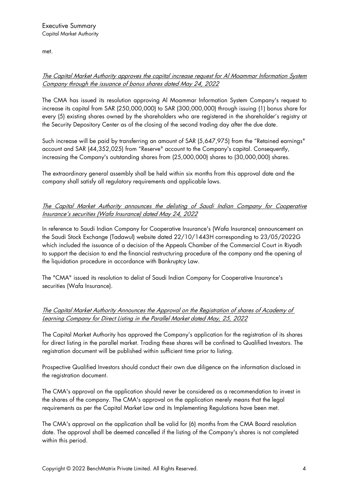met.

# The Capital Market Authority approves the capital increase request for Al Moammar Information System Company through the issuance of bonus shares dated May 24, 2022

The CMA has issued its resolution approving Al Moammar Information System Company's request to increase its capital from SAR (250,000,000) to SAR (300,000,000) through issuing (1) bonus share for every (5) existing shares owned by the shareholders who are registered in the shareholder's registry at the Security Depository Center as of the closing of the second trading day after the due date.

Such increase will be paid by transferring an amount of SAR (5,647,975) from the "Retained earnings" account and SAR (44,352,025) from "Reserve" account to the Company's capital. Consequently, increasing the Company's outstanding shares from (25,000,000) shares to (30,000,000) shares.

The extraordinary general assembly shall be held within six months from this approval date and the company shall satisfy all regulatory requirements and applicable laws.

# The Capital Market Authority announces the delisting of Saudi Indian Company for Cooperative Insurance's securities (Wafa Insurance) dated May 24, 2022

In reference to Saudi Indian Company for Cooperative Insurance's (Wafa Insurance) announcement on the Saudi Stock Exchange (Tadawul) website dated 22/10/1443H corresponding to 23/05/2022G which included the issuance of a decision of the Appeals Chamber of the Commercial Court in Riyadh to support the decision to end the financial restructuring procedure of the company and the opening of the liquidation procedure in accordance with Bankruptcy Law.

The "CMA" issued its resolution to delist of Saudi Indian Company for Cooperative Insurance's securities (Wafa Insurance).

## The Capital Market Authority Announces the Approval on the Registration of shares of Academy of Learning Company for Direct Listing in the Parallel Market dated May, 25, 2022

The Capital Market Authority has approved the Company's application for the registration of its shares for direct listing in the parallel market. Trading these shares will be confined to Qualified Investors. The registration document will be published within sufficient time prior to listing.

Prospective Qualified Investors should conduct their own due diligence on the information disclosed in the registration document.

The CMA's approval on the application should never be considered as a recommendation to invest in the shares of the company. The CMA's approval on the application merely means that the legal requirements as per the Capital Market Law and its Implementing Regulations have been met.

The CMA's approval on the application shall be valid for (6) months from the CMA Board resolution date. The approval shall be deemed cancelled if the listing of the Company's shares is not completed within this period.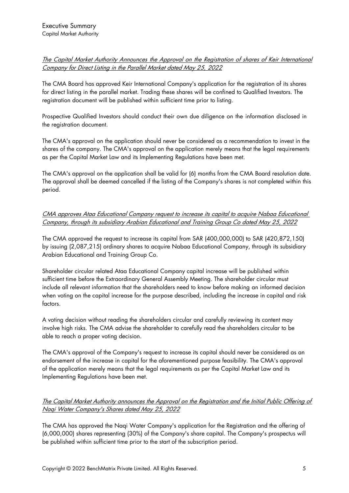# The Capital Market Authority Announces the Approval on the Registration of shares of Keir International Company for Direct Listing in the Parallel Market dated May 25, 2022

The CMA Board has approved Keir International Company's application for the registration of its shares for direct listing in the parallel market. Trading these shares will be confined to Qualified Investors. The registration document will be published within sufficient time prior to listing.

Prospective Qualified Investors should conduct their own due diligence on the information disclosed in the registration document.

The CMA's approval on the application should never be considered as a recommendation to invest in the shares of the company. The CMA's approval on the application merely means that the legal requirements as per the Capital Market Law and its Implementing Regulations have been met.

The CMA's approval on the application shall be valid for (6) months from the CMA Board resolution date. The approval shall be deemed cancelled if the listing of the Company's shares is not completed within this period.

# CMA approves Ataa Educational Company request to increase its capital to acquire Nabaa Educational Company, through its subsidiary Arabian Educational and Training Group Co dated May 25, 2022

The CMA approved the request to increase its capital from SAR (400,000,000) to SAR (420,872,150) by issuing (2,087,215) ordinary shares to acquire Nabaa Educational Company, through its subsidiary Arabian Educational and Training Group Co.

Shareholder circular related Ataa Educational Company capital increase will be published within sufficient time before the Extraordinary General Assembly Meeting. The shareholder circular must include all relevant information that the shareholders need to know before making an informed decision when voting on the capital increase for the purpose described, including the increase in capital and risk factors.

A voting decision without reading the shareholders circular and carefully reviewing its content may involve high risks. The CMA advise the shareholder to carefully read the shareholders circular to be able to reach a proper voting decision.

The CMA's approval of the Company's request to increase its capital should never be considered as an endorsement of the increase in capital for the aforementioned purpose feasibility. The CMA's approval of the application merely means that the legal requirements as per the Capital Market Law and its Implementing Regulations have been met.

## The Capital Market Authority announces the Approval on the Registration and the Initial Public Offering of Naqi Water Company's Shares dated May 25, 2022

The CMA has approved the Naqi Water Company's application for the Registration and the offering of (6,000,000) shares representing (30%) of the Company's share capital. The Company's prospectus will be published within sufficient time prior to the start of the subscription period.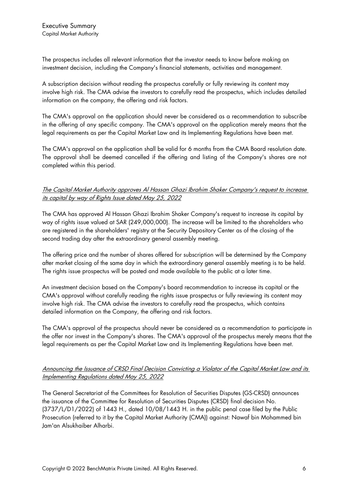The prospectus includes all relevant information that the investor needs to know before making an investment decision, including the Company's financial statements, activities and management.

A subscription decision without reading the prospectus carefully or fully reviewing its content may involve high risk. The CMA advise the investors to carefully read the prospectus, which includes detailed information on the company, the offering and risk factors.

The CMA's approval on the application should never be considered as a recommendation to subscribe in the offering of any specific company. The CMA's approval on the application merely means that the legal requirements as per the Capital Market Law and its Implementing Regulations have been met.

The CMA's approval on the application shall be valid for 6 months from the CMA Board resolution date. The approval shall be deemed cancelled if the offering and listing of the Company's shares are not completed within this period.

#### The Capital Market Authority approves Al Hassan Ghazi Ibrahim Shaker Company's request to increase its capital by way of Rights Issue dated May 25, 2022

The CMA has approved Al Hassan Ghazi Ibrahim Shaker Company's request to increase its capital by way of rights issue valued at SAR (249,000,000). The increase will be limited to the shareholders who are registered in the shareholders' registry at the Security Depository Center as of the closing of the second trading day after the extraordinary general assembly meeting.

The offering price and the number of shares offered for subscription will be determined by the Company after market closing of the same day in which the extraordinary general assembly meeting is to be held. The rights issue prospectus will be posted and made available to the public at a later time.

An investment decision based on the Company's board recommendation to increase its capital or the CMA's approval without carefully reading the rights issue prospectus or fully reviewing its content may involve high risk. The CMA advise the investors to carefully read the prospectus, which contains detailed information on the Company, the offering and risk factors.

The CMA's approval of the prospectus should never be considered as a recommendation to participate in the offer nor invest in the Company's shares. The CMA's approval of the prospectus merely means that the legal requirements as per the Capital Market Law and its Implementing Regulations have been met.

## Announcing the Issuance of CRSD Final Decision Convicting a Violator of the Capital Market Law and its Implementing Regulations dated May 25, 2022

The General Secretariat of the Committees for Resolution of Securities Disputes (GS-CRSD) announces the issuance of the Committee for Resolution of Securities Disputes (CRSD) final decision No. (3737/L/D1/2022) of 1443 H., dated 10/08/1443 H. in the public penal case filed by the Public Prosecution (referred to it by the Capital Market Authority (CMA)) against: Nawaf bin Mohammed bin Jam'an Alsukhaiber Alharbi.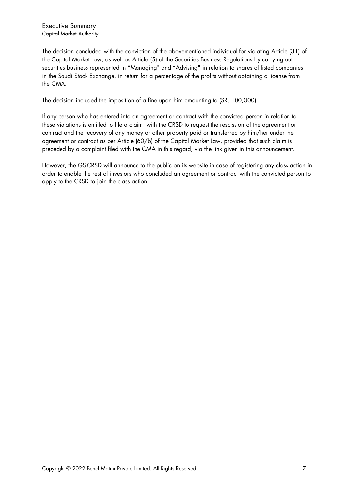The decision concluded with the conviction of the abovementioned individual for violating Article (31) of the Capital Market Law, as well as Article (5) of the Securities Business Regulations by carrying out securities business represented in "Managing" and "Advising" in relation to shares of listed companies in the Saudi Stock Exchange, in return for a percentage of the profits without obtaining a license from the CMA.

The decision included the imposition of a fine upon him amounting to (SR. 100,000).

If any person who has entered into an agreement or contract with the convicted person in relation to these violations is entitled to file a claim with the CRSD to request the rescission of the agreement or contract and the recovery of any money or other property paid or transferred by him/her under the agreement or contract as per Article (60/b) of the Capital Market Law, provided that such claim is preceded by a complaint filed with the CMA in this regard, via the link given in this announcement.

However, the GS-CRSD will announce to the public on its website in case of registering any class action in order to enable the rest of investors who concluded an agreement or contract with the convicted person to apply to the CRSD to join the class action.